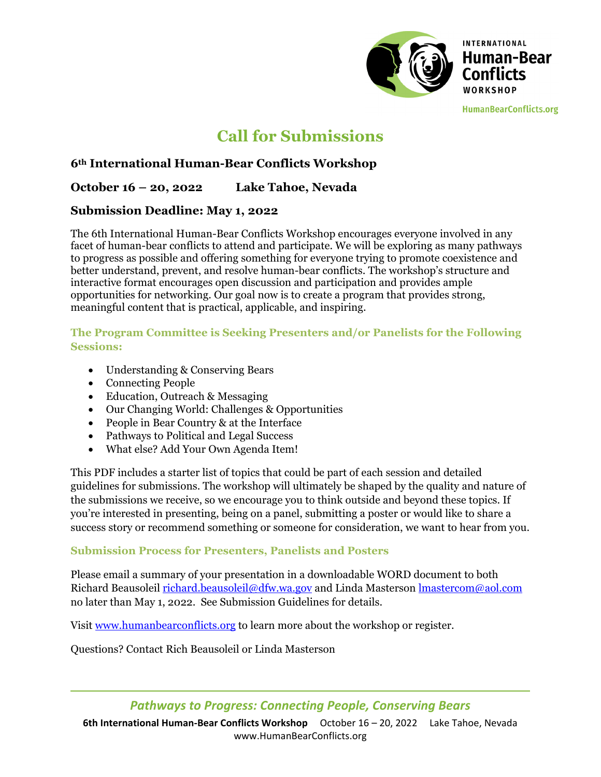

# **Call for Submissions**

# **6th International Human-Bear Conflicts Workshop**

# **October 16 – 20, 2022 Lake Tahoe, Nevada**

## **Submission Deadline: May 1, 2022**

The 6th International Human-Bear Conflicts Workshop encourages everyone involved in any facet of human-bear conflicts to attend and participate. We will be exploring as many pathways to progress as possible and offering something for everyone trying to promote coexistence and better understand, prevent, and resolve human-bear conflicts. The workshop's structure and interactive format encourages open discussion and participation and provides ample opportunities for networking. Our goal now is to create a program that provides strong, meaningful content that is practical, applicable, and inspiring.

#### **The Program Committee is Seeking Presenters and/or Panelists for the Following Sessions:**

- Understanding & Conserving Bears
- Connecting People
- Education, Outreach & Messaging
- Our Changing World: Challenges & Opportunities
- People in Bear Country & at the Interface
- Pathways to Political and Legal Success
- What else? Add Your Own Agenda Item!

This PDF includes a starter list of topics that could be part of each session and detailed guidelines for submissions. The workshop will ultimately be shaped by the quality and nature of the submissions we receive, so we encourage you to think outside and beyond these topics. If you're interested in presenting, being on a panel, submitting a poster or would like to share a success story or recommend something or someone for consideration, we want to hear from you.

#### **Submission Process for Presenters, Panelists and Posters**

Please email a summary of your presentation in a downloadable WORD document to both Richard Beausoleil richard.beausoleil@dfw.wa.gov and Linda Masterson lmastercom@aol.com no later than May 1, 2022. See Submission Guidelines for details.

Visit www.humanbearconflicts.org to learn more about the workshop or register.

Questions? Contact Rich Beausoleil or Linda Masterson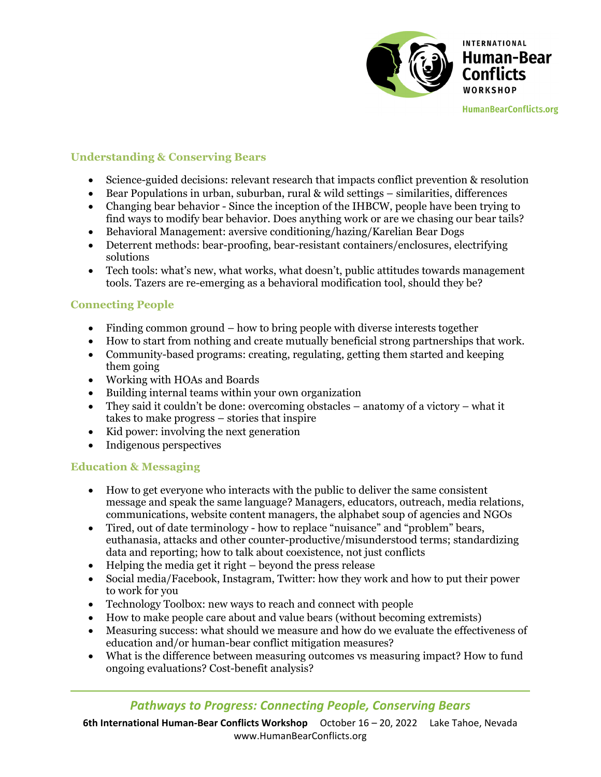

## **Understanding & Conserving Bears**

- Science-guided decisions: relevant research that impacts conflict prevention & resolution
- **Bear Populations in urban, suburban, rural & wild settings similarities, differences**
- Changing bear behavior Since the inception of the IHBCW, people have been trying to find ways to modify bear behavior. Does anything work or are we chasing our bear tails?
- Behavioral Management: aversive conditioning/hazing/Karelian Bear Dogs
- Deterrent methods: bear-proofing, bear-resistant containers/enclosures, electrifying solutions
- Tech tools: what's new, what works, what doesn't, public attitudes towards management tools. Tazers are re-emerging as a behavioral modification tool, should they be?

#### **Connecting People**

- Finding common ground how to bring people with diverse interests together
- How to start from nothing and create mutually beneficial strong partnerships that work.
- Community-based programs: creating, regulating, getting them started and keeping them going
- Working with HOAs and Boards
- Building internal teams within your own organization
- They said it couldn't be done: overcoming obstacles anatomy of a victory what it takes to make progress – stories that inspire
- $\bullet$  Kid power: involving the next generation
- Indigenous perspectives

#### **Education & Messaging**

- How to get everyone who interacts with the public to deliver the same consistent message and speak the same language? Managers, educators, outreach, media relations, communications, website content managers, the alphabet soup of agencies and NGOs
- Tired, out of date terminology how to replace "nuisance" and "problem" bears, euthanasia, attacks and other counter-productive/misunderstood terms; standardizing data and reporting; how to talk about coexistence, not just conflicts
- $\bullet$  Helping the media get it right beyond the press release
- Social media/Facebook, Instagram, Twitter: how they work and how to put their power to work for you
- Technology Toolbox: new ways to reach and connect with people
- How to make people care about and value bears (without becoming extremists)
- Measuring success: what should we measure and how do we evaluate the effectiveness of education and/or human-bear conflict mitigation measures?
- What is the difference between measuring outcomes vs measuring impact? How to fund ongoing evaluations? Cost-benefit analysis?

# *Pathways to Progress: Connecting People, Conserving Bears*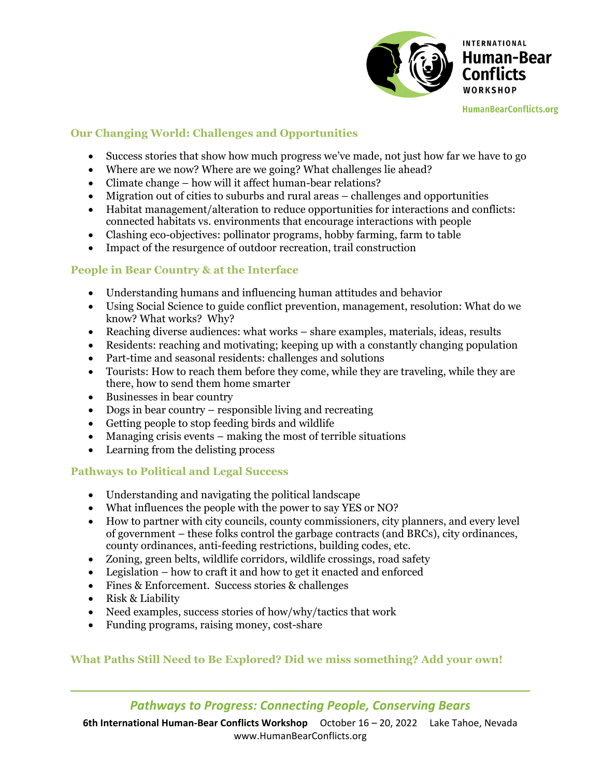

## **Our Changing World: Challenges and Opportunities**

- Success stories that show how much progress we've made, not just how far we have to go
- Where are we now? Where are we going? What challenges lie ahead?
- Climate change how will it affect human-bear relations?
- Migration out of cities to suburbs and rural areas challenges and opportunities
- Habitat management/alteration to reduce opportunities for interactions and conflicts: connected habitats vs. environments that encourage interactions with people
- Clashing eco-objectives: pollinator programs, hobby farming, farm to table
- Impact of the resurgence of outdoor recreation, trail construction

## **People in Bear Country & at the Interface**

- Understanding humans and influencing human attitudes and behavior
- Using Social Science to guide conflict prevention, management, resolution: What do we know? What works? Why?
- Reaching diverse audiences: what works share examples, materials, ideas, results
- Residents: reaching and motivating; keeping up with a constantly changing population
- Part-time and seasonal residents: challenges and solutions
- Tourists: How to reach them before they come, while they are traveling, while they are there, how to send them home smarter
- Businesses in bear country
- Dogs in bear country responsible living and recreating
- Getting people to stop feeding birds and wildlife
- Managing crisis events making the most of terrible situations
- Learning from the delisting process

#### **Pathways to Political and Legal Success**

- Understanding and navigating the political landscape
- What influences the people with the power to say YES or NO?
- How to partner with city councils, county commissioners, city planners, and every level of government – these folks control the garbage contracts (and BRCs), city ordinances, county ordinances, anti-feeding restrictions, building codes, etc.
- Zoning, green belts, wildlife corridors, wildlife crossings, road safety
- Legislation how to craft it and how to get it enacted and enforced
- Fines & Enforcement. Success stories & challenges
- Risk & Liability
- Need examples, success stories of how/why/tactics that work
- Funding programs, raising money, cost-share

# **What Paths Still Need to Be Explored? Did we miss something? Add your own!**

# *Pathways to Progress: Connecting People, Conserving Bears*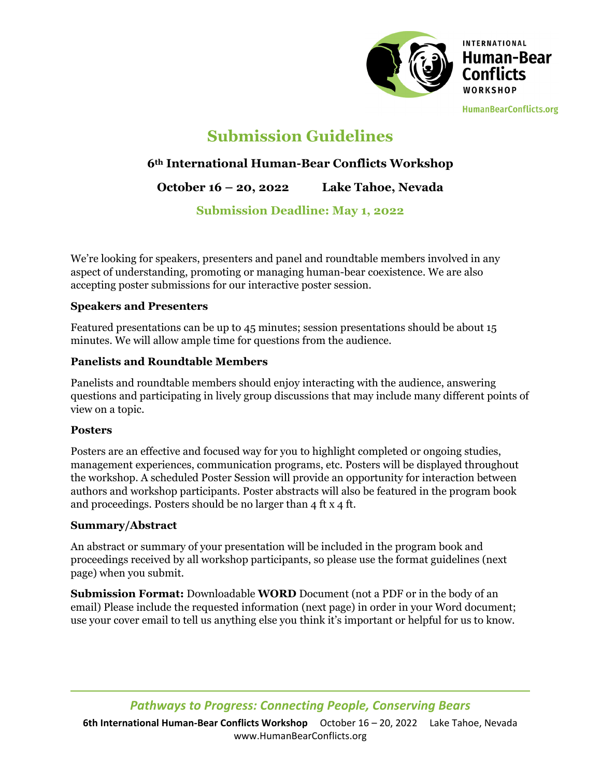

# **Submission Guidelines**

# **6th International Human-Bear Conflicts Workshop**

**October 16 – 20, 2022 Lake Tahoe, Nevada** 

# **Submission Deadline: May 1, 2022**

We're looking for speakers, presenters and panel and roundtable members involved in any aspect of understanding, promoting or managing human-bear coexistence. We are also accepting poster submissions for our interactive poster session.

#### **Speakers and Presenters**

Featured presentations can be up to 45 minutes; session presentations should be about 15 minutes. We will allow ample time for questions from the audience.

# **Panelists and Roundtable Members**

Panelists and roundtable members should enjoy interacting with the audience, answering questions and participating in lively group discussions that may include many different points of view on a topic.

#### **Posters**

Posters are an effective and focused way for you to highlight completed or ongoing studies, management experiences, communication programs, etc. Posters will be displayed throughout the workshop. A scheduled Poster Session will provide an opportunity for interaction between authors and workshop participants. Poster abstracts will also be featured in the program book and proceedings. Posters should be no larger than 4 ft x 4 ft.

#### **Summary/Abstract**

An abstract or summary of your presentation will be included in the program book and proceedings received by all workshop participants, so please use the format guidelines (next page) when you submit.

**Submission Format:** Downloadable **WORD** Document (not a PDF or in the body of an email) Please include the requested information (next page) in order in your Word document; use your cover email to tell us anything else you think it's important or helpful for us to know.